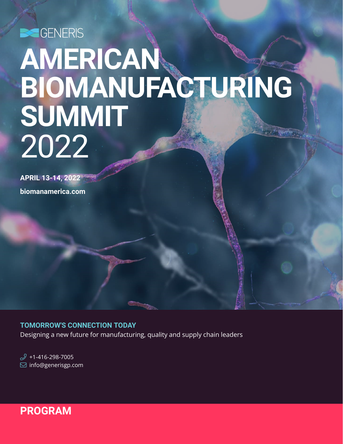SGENERIS

# **AMERICAN BIOMANUFACTURING SUMMIT** 2022

**APRIL 13-14, 2022**

**biomanamerica.com**

# **TOMORROW'S CONNECTION TODAY**

Designing a new future for manufacturing, quality and supply chain leaders

 $\mathscr{D}$  +1-416-298-7005  $\boxdot$  info@generisgp.com

# **PROGRAM**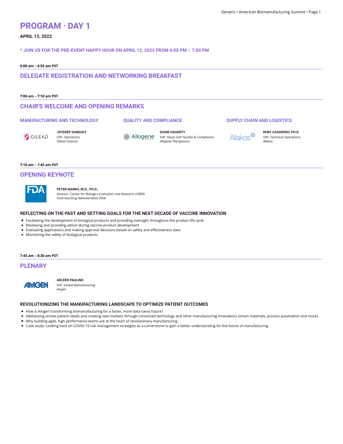# **PROGRAM · DAY 1**

# **APRIL 13, 2022**

**\* JOIN US FOR THE PRE-EVENT HAPPY HOUR ON APRIL 12, 2022 FROM 6:00 PM – 7:00 PM**

## **6:00 am – 6:55 am PST**

**DELEGATE REGISTRATION AND NETWORKING BREAKFAST**

## **7:00 am – 7:10 am PST**

# **CHAIR'S WELCOME AND OPENING REMARKS**

# **MANUFACTURING AND TECHNOLOGY**

**QUALITY AND COMPLIANCE**

GILEAD

**JOYDEEP GANGULY** SVP, Operations *Gilead Sciences*

88 Allogene<sup>®</sup>

**DIANE HAGERTY** SVP, Head, GxP Quality & Compliance *Allogene Therapeutics*

**SUPPLY CHAIN AND LOGISTICS**

Allakos®

**RUBY CASARENO, PH.D.** SVP, Technical Operations *Allakos*

### **7:10 am – 7:45 am PST**

# **OPENING KEYNOTE**



**PETER MARKS, M.D., PH.D.,** Director, Center for Biologics Evaluation and Research (CBER) *Food and Drug Administration (FDA)*

## **REFLECTING ON THE PAST AND SETTING GOALS FOR THE NEXT DECADE OF VACCINE INNOVATION**

- Facilitating the development of biological products and providing oversight throughout the product life cycle
- Reviewing and providing advice during vaccine product development
- Evaluating applications and making approval decisions based on safety and effectiveness data
- **Monitoring the safety of biological products**

## **7:45 am – 8:20 am PST**

**PLENARY**



**ARLEEN PAULINO** SVP, Global Manufacturing *Amgen*

## **REVOLUTIONIZING THE MANUFACTURING LANDSCAPE TO OPTIMIZE PATIENT OUTCOMES**

■ How is Amgen transforming biomanufacturing for a faster, more data-savvy future?

- Addressing unmet patient needs and creating new markets through connected technology and other manufacturing innovations (smart materials, process automation and more)
- Why building agile, high performance teams are at the heart of revolutionary manufacturing
- Case study: Looking back on COVID-19 risk management strategies as a cornerstone to gain a better understanding for the future of manufacturing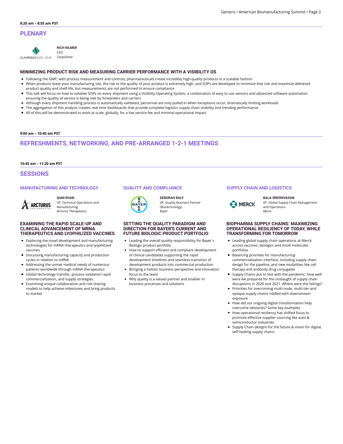# **PLENARY**



**RICH KILMER** CEO

**CARGOSENSE** *CargoSense*

# **MINIMIZING PRODUCT RISK AND MEASURING CARRIER PERFORMANCE WITH A VISIBILITY OS**

- Following the GMP, with process measurement and controls, pharmaceuticals create incredibly high-quality products in a scalable fashion
- $\blacksquare$ When products leave your manufacturing site, the risk to the quality of your product is extremely high, and SOPs are developed to minimize that risk and maximize delivered product quality and shelf-life, but measurements are not performed to ensure compliance
- This talk will focus on how to validate SOPs on every shipment using a Visibility Operating System, a combination of easy to use sensors and advanced software automation ensuring the quality of service is being met by forwarders and carriers
- Although every shipment handling process is automatically validated, personnel are only pulled in when exceptions occur, dramatically limiting workloads
- The aggregation of this analysis creates real-time dashboards that provide complete logistics supply chain visibility and trending performance  $\blacksquare$
- All of this will be demonstrated to work at scale, globally, for a low service fee and minimal operational impact

## **9:00 am – 10:40 am PST**

# **REFRESHMENTS, NETWORKING, AND PRE-ARRANGED 1-2-1 MEETINGS**

## **10:45 am – 11:20 am PST**

**ARCTURUS** 

# **SESSIONS**

# **MANUFACTURING AND TECHNOLOGY**

## **QIAN RUAN**

VP, Technical Operations and Manufacturing *Arcturus Therapeutics*

## **EXAMINING THE RAPID SCALE-UP AND CLINICAL ADVANCEMENT OF MRNA THERAPEUTICS AND LYOPHILIZED VACCINES**

- Exploring the novel development and manufacturing technologies for mRNA therapeutics and lyophilized vaccines
- **Discussing manufacturing capacity and production** cycles in relation to mRNA
- $\mathbf{r}$ Addressing the unmet medical needs of numerous patients worldwide through mRNA therapeutics
- Global technology transfer, process validation rapid commercialization, and supply strategies
- Examining unique collaboration and risk-sharing models to help achieve milestones and bring products to market

# **QUALITY AND COMPLIANCE**



**DEBORAH BALY** VP, Quality Business Partner (Biotechnology) *Bayer*

## **SETTING THE QUALITY PARADIGM AND DIRECTION FOR BAYER'S CURRENT AND FUTURE BIOLOGIC PRODUCT PORTFOLIO**

- Leading the overall quality responsibility for Bayer´s Biologic product portfolio
- How to support efficient and compliant development of clinical candidates supporting the rapid development timelines and seamless transition of development products into commercial production
- **Bringing a holistic business perspective and innovation** focus to the team
- Why quality is a valued partner and enabler in business processes and solutions

# **SUPPLY CHAIN AND LOGISTICS**

### **BALA SREENIVASAN**

VP, Global Supply Chain Management **B** MERCK and Operations *Merck*

## **BIOPHARMA SUPPLY CHAINS: MAXIMIZING OPERATIONAL RESILIENCY OF TODAY, WHILE TRANSFORMING FOR TOMORROW**

- **Leading global supply chain operations at Merck** across vaccines, biologics and small molecules portfolios
- **Balancing priorities for manufacturing**commercialization interface, including supply chain design for the pipeline, and new modalities like cell therapy and antibody drug conjugates
- Supply Chains put to test with the pandemic: How well were we prepared for the onslaught of supply chain disruptions in 2020 and 2021. Where were the failings?
- **Priorities for overcoming multi-node, multi-tier and** opaque supply chains riddled with downstream exposure
- How did our ongoing digital transformation help overcome obstacles? Some key examples
- How operational resiliency has shifted focus to promote effective supplier sourcing like auto & semiconductor industries
- Supply Chain designs for the future & vision for digital, self-healing supply chains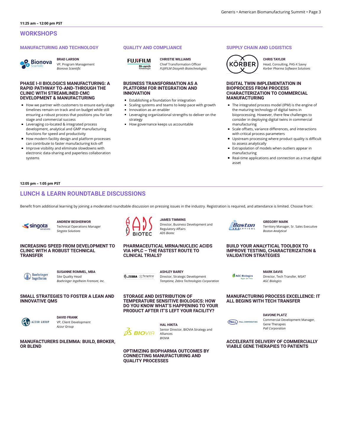## **MANUFACTURING AND TECHNOLOGY**



**BRAD LARSON** VP, Program Management *Bionova Scientic*

## **PHASE I-II BIOLOGICS MANUFACTURING: A RAPID PATHWAY TO-AND-THROUGH THE CLINIC WITH STREAMLINED CMC DEVELOPMENT & MANUFACTURING**

- How we partner with customers to ensure early-stage timelines remain on track and on budget while still ensuring a robust process that positions you for late stage and commercial success
- Leveraging co-located & integrated process development, analytical and GMP manufacturing functions for speed and productivity
- How modern facility design and platform processes can contribute to faster manufacturing kick-o
- $\blacksquare$  Improve visibility and eliminate slowdowns with electronic data-sharing and paperless collaboration systems

## **QUALITY AND COMPLIANCE**

**FUJIFILM Diosynth** 

**CHRISTIE WILLIAMS** Chief Transformation Officer *FUJIFILM Diosynth Biotechnologies*

## **BUSINESS TRANSFORMATION AS A PLATFORM FOR INTEGRATION AND INNOVATION**

- **Establishing a foundation for integration**
- Scaling systems and teams to keep pace with growth Innovation as an enabler
- **Leveraging organizational strengths to deliver on the** strategy
- How governance keeps us accountable

# **SUPPLY CHAIN AND LOGISTICS**



**CHRIS TAYLOR** Head, Consulting, PAS-X Savvy *Korber Pharma Software Solutions*

## **DIGITAL TWIN IMPLEMENTATION IN BIOPROCESS FROM PROCESS CHARACTERIZATION TO COMMERCIAL MANUFACTURING**

- The integrated process model (IPM) is the engine of the maturing technology of digital twins in bioprocessing. However, there few challenges to consider in deploying digital twins in commercial manufacturing
- $\blacksquare$  Scale offsets, variance differences, and interactions with critical process parameters
- Upstream processing where product quality is difficult to assess analytically
- Extrapolation of models when outliers appear in manufacturing
- Real-time applications and connection as a true digital asset

## **12:05 pm – 1:05 pm PST**

# **LUNCH & LEARN ROUNDTABLE DISCUSSIONS**

Benefit from additional learning by joining a moderated roundtable discussion on pressing issues in the industry. Registration is required, and attendance is limited. Choose from:

**JAMES TIMMINS**

Regulatory Affairs *ADS Biotec*

**PHARMACEUTICAL MRNA/NUCLEIC ACIDS VIA HPLC – THE FASTEST ROUTE TO**

**ASHLEY BAREY**

**TEMPERATURE SENSITIVE BIOLOGICS: HOW**

**STORAGE AND DISTRIBUTION OF**

Director, Strategic Development *Temptime, Zebra Technologies Corporation*

Director, Business Development and



**ANDREW BESHERWOR** Technical Operations Manager *Singota Solutions*

## **INCREASING SPEED FROM DEVELOPMENT TO CLINIC WITH A ROBUST TECHNICAL TRANSFER**



**SUSANNE ROMMEL, MBA** Site Quality Head *Boehringer Ingelheim Fremont, Inc.*

## **SMALL STRATEGIES TO FOSTER A LEAN AND INNOVATIVE QMS**



**OR BLEND**

**DAVID FRANK** VP, Client Development *Azzur Group*

**MANUFACTURERS DILEMMA: BUILD, BROKER,**

**HAL HIKITA** Alliances

**OPTIMIZING BIOPHARMA OUTCOMES BY CONNECTING MANUFACTURING AND QUALITY PROCESSES**

Boston

**GREGORY MARK** Territory Manager, Sr. Sales Executive *Boston Analytical*

## **BUILD YOUR ANALYTICAL TOOLBOX TO IMPROVE TESTING, CHARACTERIZATION & VALIDATION STRATEGIES**

AGC Biologics

**MARK DAVIS** Director, Tech Transfer, MSAT *AGC Biologics*

## **MANUFACTURING PROCESS EXCELLENCE: IT ALL BEGINS WITH TECH TRANSFER**

**DAVONE PLATZ**

Commercial Development Manager, Gene Therapies *Pall Corporation*

**ACCELERATE DELIVERY OF COMMERCIALLY VIABLE GENE THERAPIES TO PATIENTS**

**PALL** PALL CORPORATION



**CLINICAL TRIALS?**

**No. ZEBRA** <>Temptime

**BIOTEC** 

**OS BIO**VIA

Senior Director, BIOVIA Strategy and *BIOVIA*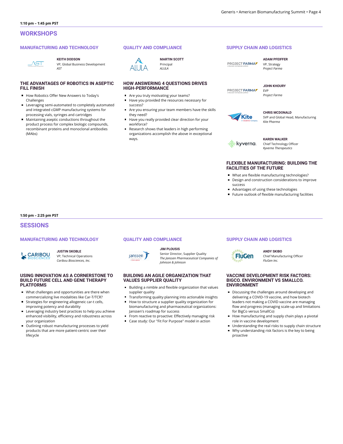## **MANUFACTURING AND TECHNOLOGY**



**KEITH DODSON**

VP, Global Business Development *AST*

## **THE ADVANTAGES OF ROBOTICS IN ASEPTIC FILL FINISH**

- How Robotics Offer New Answers to Today's Challenges
- **Leveraging semi-automated to completely automated** and integrated cGMP manufacturing systems for processing vials, syringes and cartridges
- Maintaining aseptic conductions throughout the product process for complex biologic compounds, recombinant proteins and monoclonal antibodies (MAbs)

## **QUALITY AND COMPLIANCE**



**MARTIN SCOTT** Principal *ALULA*

# **HOW ANSWERING 4 QUESTIONS DRIVES HIGH-PERFORMANCE**

- Are you truly motivating your teams?
- Have you provided the resources necessary for success?
- Are you ensuring your team members have the skills they need?
- Have you really provided clear direction for your workforce?
- Research shows that leaders in high performing organizations accomplish the above in exceptional ways.

## **SUPPLY CHAIN AND LOGISTICS**

PROJECT FARMAL

**ADAM PFEIFFER** VP, Strategy *Project Farma*



**JOHN KHOURY** EVP *Project Farma*



#### **CHRIS MCDONALD** SVP and Global Head, Manufacturing *Kite Pharma*



**KAREN WALKER** Chief Technology Officer *Kyverna Therapeutics*

## **FLEXIBLE MANUFACTURING: BUILDING THE FACILITIES OF THE FUTURE**

- What are flexible manufacturing technologies?
- Design and construction considerations to improve success
- Advantages of using these technologies
- $\blacksquare$  Future outlook of flexible manufacturing facilities

**1:50 pm – 2:25 pm PST**

# **SESSIONS**

## **MANUFACTURING AND TECHNOLOGY**



# **JUSTIN SKOBLE**

VP, Technical Operations *Caribou Biosciences, Inc.*

## **USING INNOVATION AS A CORNERSTONE TO BUILD FUTURE CELL AND GENE THERAPY PLATFORMS**

- What challenges and opportunities are there when commercializing live modalities like Car-T/TCR?
- Strategies for engineering allogeneic car-t cells, improving potency and durability
- **Leveraging industry best practices to help you achieve** enhanced visibility, efficiency and robustness across your organization
- Outlining robust manufacturing processes to yield products that are more patient-centric over their lifecycle



Janssen J

## **JIM PLOUSIS**

Senior Director, Supplier Quality *The Janssen Pharmaceutical Companies of Johnson & Johnson*

## **BUILDING AN AGILE ORGANIZATION THAT VALUES SUPPLIER QUALITY**

- Building a nimble and flexible organization that values supplier quality
- $\blacksquare$ Transforming quality planning into actionable insights
- How to structure a supplier quality organization for biomanufacturing and pharmaceutical organizations: Janssen's roadmap for success
- From reactive to proactive: Effectively managing risk
- Case study: Our "Fit For Purpose" model in action

## **SUPPLY CHAIN AND LOGISTICS**



**ANDY SKIBO** Chief Manufacturing Officer *FluGen Inc.*

## **VACCINE DEVELOPMENT RISK FACTORS: BIGCO. ENVIRONMENT VS SMALLCO. ENVIRONMENT**

- Discussing the challenges around developing and delivering a COVID-19 vaccine, and how biotech leaders not making a COVID vaccine are managing flow and progress (managing scale-up and limitations for BigCo versus SmallCo)
- How manufacturing and supply chain plays a pivotal role in vaccine development
- Understanding the real risks to supply chain structure
- Why understanding risk factors is the key to being proactive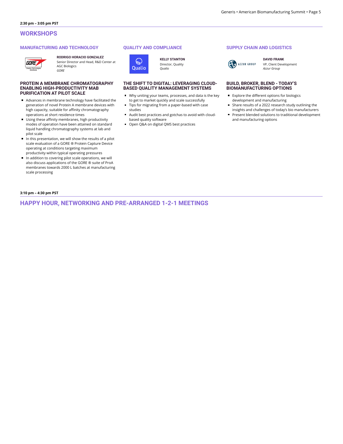## **MANUFACTURING AND TECHNOLOGY**



## **RODRIGO HORACIO GONZALEZ**

Senior Director and Head, R&D Center at

## **PROTEIN A MEMBRANE CHROMATOGRAPHY ENABLING HIGH-PRODUCTIVITY MAB PURIFICATION AT PILOT SCALE**

AGC Biologics *GORE*

- Advances in membrane technology have facilitated the generation of novel Protein A membrane devices with high capacity, suitable for affinity chromatography operations at short residence times
- $\blacksquare$  Using these affinity membranes, high productivity modes of operation have been attained on standard liquid handling chromatography systems at lab and pilot scale
- $\blacksquare$  In this presentation, we will show the results of a pilot scale evaluation of a GORE ® Protein Capture Device operating at conditions targeting maximum productivity within typical operating pressures
- In addition to covering pilot scale operations, we will also discuss applications of the GORE ® suite of ProA membranes towards 2000 L batches at manufacturing scale processing

## **QUALITY AND COMPLIANCE**



**KELLY STANTON** Director, Quality *Qualio*

## **THE SHIFT TO DIGITAL: LEVERAGING CLOUD-BASED QUALITY MANAGEMENT SYSTEMS**

- Why uniting your teams, processes, and data is the key to get to market quickly and scale successfully
- Tips for migrating from a paper-based with case studies
- Audit best practices and gotchas to avoid with cloudbased quality software
- Open Q&A on digital QMS best practices

# **SUPPLY CHAIN AND LOGISTICS**



**DAVID FRANK** VP, Client Development *Azzur Group*

## **BUILD, BROKER, BLEND - TODAY'S BIOMANUFACTURING OPTIONS**

- Explore the different options for biologics development and manufacturing
- Share results of a 2022 research study outlining the insights and challenges of today's bio manufacturers
- **Present blended solutions to traditional development** and manufacturing options

## **3:10 pm – 4:30 pm PST**

**HAPPY HOUR, NETWORKING AND PRE-ARRANGED 1-2-1 MEETINGS**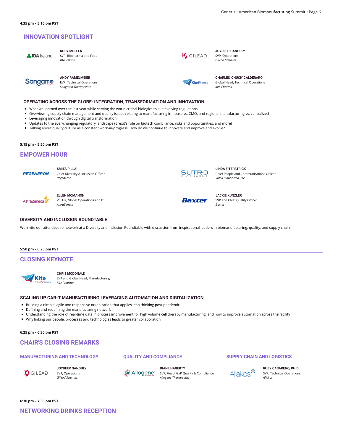# **INNOVATION SPOTLIGHT**

|  | <b>A IDA</b> Ireland |
|--|----------------------|

**Sangamo** 

**RORY MULLEN** SVP, Biopharma and Food *IDA Ireland*

**ANDY RAMELMEIER** EVP, Technical Operations *Sangamo Therapeutics* 



**JOYDEEP GANGULY** SVP, Operations *Gilead Sciences*

**CHARLES 'CHUCK' CALDERARO** Global Head, Technical Operations *Kite Pharma*

# **OPERATING ACROSS THE GLOBE: INTEGRATION, TRANSFORMATION AND INNOVATION**

- What we learned over the last year while serving the world critical biologics to suit evolving regulations
- $\blacksquare$ Overviewing supply chain management and quality issues relating to manufacturing in-house vs. CMO, and regional manufacturing vs. centralized
- **Leveraging innovation through digital transformation**
- Updates to the ever-changing regulatory landscape (Brexit's role on biotech compliance, risks and opportunities, and more)
- Talking about quality culture as a constant work-in-progress. How do we continue to innovate and improve and evolve?

**5:15 pm – 5:50 pm PST**

# **EMPOWER HOUR**

**REGENERON** 

**SMITA PILLAI** Chief Diversity & Inclusion Officer

*Regeneron*



**ELLEN MCMAHON** VP, HR, Global Operations and IT



We invite our attendees to network at a Diversity and Inclusion Roundtable with discussion from inspirational leaders in biomanufacturing, quality, and supply chain.

## **5:50 pm – 6:25 pm PST**

# **CLOSING KEYNOTE**



**CHRIS MCDONALD** SVP and Global Head, Manufacturing *Kite Pharma*

#### **SCALING UP CAR-T MANUFACTURING LEVERAGING AUTOMATION AND DIGITALIZATION**

- Building a nimble, agile and responsive organization that applies lean thinking post-pandemic
- $\blacksquare$  Defining and redefining the manufacturing network
- Understanding the role of real-time data in process improvement for high volume cell therapy manufacturing, and how to improve automation across the facility

**QUALITY AND COMPLIANCE**

Why linking our people, processes and technologies leads to greater collaboration

# **6:25 pm – 6:30 pm PST**

# **CHAIR'S CLOSING REMARKS**

## **MANUFACTURING AND TECHNOLOGY**

GILEAD

**JOYDEEP GANGULY** SVP, Operations *Gilead Sciences*

Allogene<sup>®</sup>

**DIANE HAGERTY** SVP, Head, GxP Quality & Compliance *Allogene Therapeutics*

## **SUPPLY CHAIN AND LOGISTICS**

Allakos<sup>®</sup>

**RUBY CASARENO, PH.D.** SVP, Technical Operations *Allakos*

**6:30 pm – 7:30 pm PST**



**JACKIE KUNZLER**

Baxter

SVP and Chief Quality Officer *Baxter*

Chief People and Communications Officer

**LINDA FITZPATRICK**

*Sutro Biopharma, Inc.*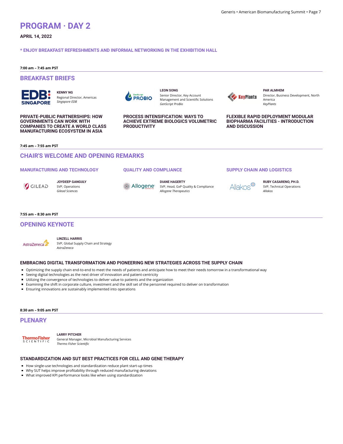# **PROGRAM · DAY 2**

**APRIL 14, 2022**

## **\* ENJOY BREAKFAST REFRESHMENTS AND INFORMAL NETWORKING IN THE EXHIBITION HALL**

**7:00 am – 7:45 am PST**

# **BREAKFAST BRIEFS**

**SINGAPORE** 

**KENNY NG** Regional Director, Americas *Singapore EDB*

**PRIVATE-PUBLIC PARTNERSHIPS: HOW GOVERNMENTS CAN WORK WITH COMPANIES TO CREATE A WORLD CLASS MANUFACTURING ECOSYSTEM IN ASIA**



**LEON SONG** Senior Director, Key Account Management and Scientific Solutions *GenScript ProBio*

**PROCESS INTENSIFICATION: WAYS TO ACHIEVE EXTREME BIOLOGICS VOLUMETRIC PRODUCTIVITY**



**PAR ALMHEM** Director, Business Development, North America *KeyPlants*

**FLEXIBLE RAPID DEPLOYMENT MODULAR BIOPHARMA FACILITIES - INTRODUCTION AND DISCUSSION**

**7:45 am – 7:55 am PST**

# **CHAIR'S WELCOME AND OPENING REMARKS**

## **MANUFACTURING AND TECHNOLOGY**



**JOYDEEP GANGULY** SVP, Operations *Gilead Sciences*

## **QUALITY AND COMPLIANCE**

**DIANE HAGERTY** Allogene SVP, Head, GxP Quality & Compliance *Allogene Therapeutics*

## **SUPPLY CHAIN AND LOGISTICS**



**RUBY CASARENO, PH.D.** SVP, Technical Operations *Allakos*

## **7:55 am – 8:30 am PST**

# **OPENING KEYNOTE**



#### **LINZELL HARRIS** SVP, Global Supply Chain and Strategy *AstraZeneca*

## **EMBRACING DIGITAL TRANSFORMATION AND PIONEERING NEW STRATEGIES ACROSS THE SUPPLY CHAIN**

- Optimizing the supply chain end-to-end to meet the needs of patients and anticipate how to meet their needs tomorrow in a transformational way
- Seeing digital technologies as the next driver of innovation and patient-centricity
- Utilizing the convergence of technologies to deliver value to patients and the organization
- Examining the shift in corporate culture, investment and the skill set of the personnel required to deliver on transformation
- Ensuring innovations are sustainably implemented into operations

## **8:30 am – 9:05 am PST**

# **PLENARY**



**LARRY PITCHER**

General Manager, Microbial Manufacturing Services *Thermo Fisher Scientic*

## **STANDARDIZATION AND SUT BEST PRACTICES FOR CELL AND GENE THERAPY**

- How single-use technologies and standardization reduce plant start-up times
- $\blacksquare$  Why SUT helps improve profitability through reduced manufacturing deviations
- What improved KPI performance looks like when using standardization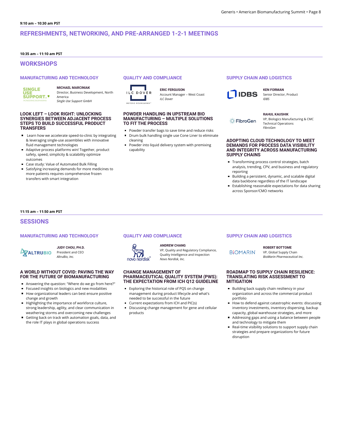# **REFRESHMENTS, NETWORKING, AND PRE-ARRANGED 1-2-1 MEETINGS**

## **10:35 am – 11:10 am PST**

# **WORKSHOPS**

## **MANUFACTURING AND TECHNOLOGY**

**SINGLE SUPPORT.** 

# **MICHAEL MARCINIAK**

Director, Business Development, North America *Single Use Support GmbH*

## **LOOK LEFT – LOOK RIGHT: UNLOCKING SYNERGIES BETWEEN ADJACENT PROCESS STEPS TO BUILD SUCCESSFUL PRODUCT TRANSFERS**

- Learn how we accelerate speed-to-clinic by integrating & leveraging single-use assemblies with innovative fluid management technologies
- Adaptive process platforms win! Together, product safety, speed, simplicity & scalability optimize outcomes
- Case study: Value of Automated Bulk Filling
- Satisfying increasing demands for more medicines to more patients requires comprehensive frozen transfers with smart integration

# **QUALITY AND COMPLIANCE**



Account Manager – West Coast *ILC Dover*

**ERIC FERGUSON**

## **POWDER HANDLING IN UPSTREAM BIO MANUFACTURING – MULTIPLE SOLUTIONS TO FIT THE PROCESS**

- Powder transfer bags to save time and reduce risks **Drum bulk handling single use Cone Liner to eliminate** cleaning
- Powder into liquid delivery system with premixing capability

# **SUPPLY CHAIN AND LOGISTICS**



**KEN FORMAN** Senior Director, Product *IDBS*

## **RAHUL KAUSHIK**

**EibroGen** 

VP, Biologics Manufacturing & CMC Technical Operations *FibroGen*

## **ADOPTING CLOUD TECHNOLOGY TO MEET DEMANDS FOR PROCESS DATA VISIBILITY AND INTEGRITY ACROSS MANUFACTURING SUPPLY CHAINS**

- Transforming process control strategies, batch analysis, trending, CPV, and business and regulatory reporting
- Building a persistent, dynamic, and scalable digital data backbone regardless of the IT landscape
- **Establishing reasonable expectations for data sharing** across Sponsor/CMO networks

## **11:15 am – 11:50 am PST**

## **SESSIONS**

## **MANUFACTURING AND TECHNOLOGY**

**XALTRUBIO** 

#### **JUDY CHOU, PH.D.** President and CEO *AltruBio, Inc.*

## **A WORLD WITHOUT COVID: PAVING THE WAY FOR THE FUTURE OF BIOMANUFACTURING**

- Answering the question: "Where do we go from here?"  $\blacksquare$
- $\blacksquare$ Focused insights on biologics and new modalities
- $\blacksquare$  How organizational leaders can best ensure positive change and growth
- Highlighting the importance of workforce culture, strong leadership, agility, and clear communication in weathering storms and overcoming new challenges
- Getting back on track with automation goals, data, and the role IT plays in global operations success

# **QUALITY AND COMPLIANCE**



## **ANDREW CHANG**

VP, Quality and Regulatory Compliance, Quality Intelligence and Inspection *Novo Nordisk, Inc.*

## **CHANGE MANAGEMENT OF PHARMACEUTICAL QUALITY SYSTEM (PWS): THE EXPECTATION FROM ICH Q12 GUIDELINE**

- **Exploring the historical role of PQS on change** management during product lifecycle and what's needed to be successful in the future
- Current expectations from ICH and PIC(s)
- Discussing change management for gene and cellular products

## **SUPPLY CHAIN AND LOGISTICS**

**BIOMARIN** 

**ROBERT BOTTOME**

VP, Global Supply Chain *BioMarin Pharmaceutical Inc.*

## **ROADMAP TO SUPPLY CHAIN RESILIENCE: TRANSLATING RISK ASSESSMENT TO MITIGATION**

- Building back supply chain resiliency in your organization and across the commercial product portfolio
- How to defend against catastrophic events: discussing inventory investments, inventory dispersing, backup capacity, global warehouse strategies, and more
- Addressing gaps and using a balance between people and technology to mitigate them
- Real-time visibility solutions to support supply chain strategies and prepare organizations for future disruption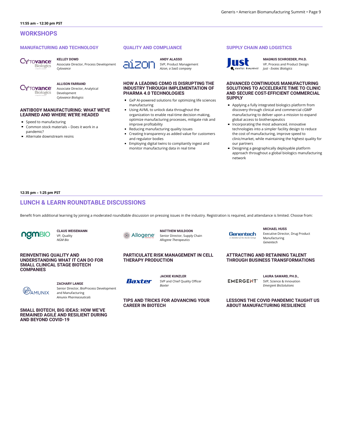## **MANUFACTURING AND TECHNOLOGY**

*Cytovance*



#### **KELLEY DOWD** Associate Director, Process Development

**ALLISON FARRAND TOvance** Biologics Development *Cytovance Biologics*

Associate Director, Analytical

**ANTIBODY MANUFACTURING: WHAT WE'VE**

- **LEARNED AND WHERE WE'RE HEADED**
- Speed to manufacturing  $\blacksquare$
- $\blacksquare$ Common stock materials – Does it work in a pandemic?
- Alternate downstream resins

## **QUALITY AND COMPLIANCE**



**ANDY ALASSO** SVP, Product Management *Aizon, a SaaS company*

## **HOW A LEADING CDMO IS DISRUPTING THE INDUSTRY THROUGH IMPLEMENTATION OF PHARMA 4.0 TECHNOLOGIES**

- GxP AI-powered solutions for optimizing life sciences manufacturing
- Using AI/ML to unlock data throughout the organization to enable real-time decision making, optimize manufacturing processes, mitigate risk and improve profitability
- Reducing manufacturing quality issues
- Creating transparency as added value for customers and regulator bodies
- $\blacksquare$ Employing digital twins to compliantly ingest and monitor manufacturing data in real time

# **SUPPLY CHAIN AND LOGISTICS**



**MAGNUS SCHROEDER, PH.D.** VP, Process and Product Design *Just - Evotec Biologics*

## **ADVANCED CONTINUOUS MANUFACTURING SOLUTIONS TO ACCELERATE TIME TO CLINIC AND SECURE COST-EFFICIENT COMMERCIAL SUPPLY**

- Applying a fully integrated biologics platform from discovery through clinical and commercial cGMP manufacturing to deliver upon a mission to expand global access to biotherapeutics
- Incorporating the most advanced, innovative technologies into a simpler facility design to reduce the cost of manufacturing, improve speed to clinic/market, while maintaining the highest quality for our partners
- Designing a geographically deployable platform approach throughout a global biologics manufacturing network

**12:35 pm – 1:25 pm PST**

# **LUNCH & LEARN ROUNDTABLE DISCUSSIONS**

Benefit from additional learning by joining a moderated roundtable discussion on pressing issues in the industry. Registration is required, and attendance is limited. Choose from:



**CLAUS WEISEMANN** VP, Quality *NGM Bio*

## **REINVENTING QUALITY AND UNDERSTANDING WHAT IT CAN DO FOR SMALL CLINICAL STAGE BIOTECH COMPANIES**



**ZACHARY LANGE** Senior Director, BioProcess Development and Manufacturing *Amunix Pharmaceuticals*

**SMALL BIOTECH, BIG IDEAS: HOW WE'VE REMAINED AGILE AND RESILIENT DURING AND BEYOND COVID-19**

Allogene<sup>®</sup>

**MATTHEW MULDOON** Senior Director, Supply Chain *Allogene Therapeutics*

## **PARTICULATE RISK MANAGEMENT IN CELL THERAPY PRODUCTION**



**JACKIE KUNZLER** SVP and Chief Quality Officer *Baxter*

**TIPS AND TRICKS FOR ADVANCING YOUR CAREER IN BIOTECH**

**ATTRACTING AND RETAINING TALENT THROUGH BUSINESS TRANSFORMATIONS**

**MICHAEL HUSS**

Manufacturing *Genentech*

**EMERGENT** 

**Genentech** 

**LAURA SAWARD, PH.D.,**

Executive Director, Drug Product

SVP, Science & Innovation *Emergent BioSolutions*

**LESSONS THE COVID PANDEMIC TAUGHT US ABOUT MANUFACTURING RESILIENCE**